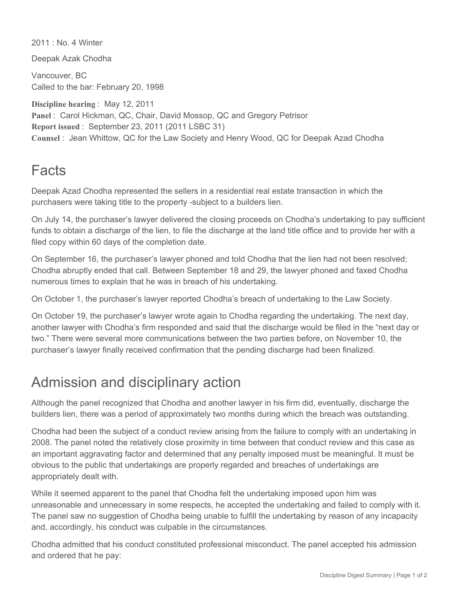2011 : No. 4 Winter

Deepak Azak Chodha

Vancouver, BC Called to the bar: February 20, 1998

**Discipline hearing** : May 12, 2011 **Panel** : Carol Hickman, QC, Chair, David Mossop, QC and Gregory Petrisor **Report issued** : September 23, 2011 (2011 LSBC 31) **Counsel** : Jean Whittow, QC for the Law Society and Henry Wood, QC for Deepak Azad Chodha

## Facts

Deepak Azad Chodha represented the sellers in a residential real estate transaction in which the purchasers were taking title to the property -subject to a builders lien.

On July 14, the purchaser's lawyer delivered the closing proceeds on Chodha's undertaking to pay sufficient funds to obtain a discharge of the lien, to file the discharge at the land title office and to provide her with a filed copy within 60 days of the completion date.

On September 16, the purchaser's lawyer phoned and told Chodha that the lien had not been resolved; Chodha abruptly ended that call. Between September 18 and 29, the lawyer phoned and faxed Chodha numerous times to explain that he was in breach of his undertaking.

On October 1, the purchaser's lawyer reported Chodha's breach of undertaking to the Law Society.

On October 19, the purchaser's lawyer wrote again to Chodha regarding the undertaking. The next day, another lawyer with Chodha's firm responded and said that the discharge would be filed in the "next day or two." There were several more communications between the two parties before, on November 10, the purchaser's lawyer finally received confirmation that the pending discharge had been finalized.

## Admission and disciplinary action

Although the panel recognized that Chodha and another lawyer in his firm did, eventually, discharge the builders lien, there was a period of approximately two months during which the breach was outstanding.

Chodha had been the subject of a conduct review arising from the failure to comply with an undertaking in 2008. The panel noted the relatively close proximity in time between that conduct review and this case as an important aggravating factor and determined that any penalty imposed must be meaningful. It must be obvious to the public that undertakings are properly regarded and breaches of undertakings are appropriately dealt with.

While it seemed apparent to the panel that Chodha felt the undertaking imposed upon him was unreasonable and unnecessary in some respects, he accepted the undertaking and failed to comply with it. The panel saw no suggestion of Chodha being unable to fulfill the undertaking by reason of any incapacity and, accordingly, his conduct was culpable in the circumstances.

Chodha admitted that his conduct constituted professional misconduct. The panel accepted his admission and ordered that he pay: